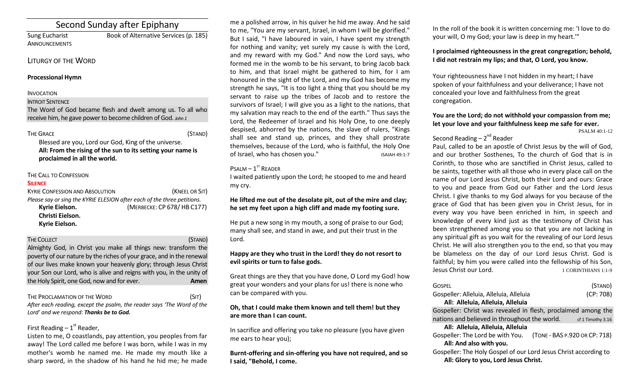# Second Sunday after Epiphany

ANNOUNCEMENTS

Sung Eucharist Book of Alternative Services (p. 185)

# LITURGY OF THE WORD

## **Processional Hymn**

## INVOCATION

## **INTROIT SENTENCE**

The Word of God became flesh and dwelt among us. To all who receive him, he gave power to become children of God. *John 1*

## THE GRACE (STAND)

Blessed are you, Lord our God, King of the universe. **All: From the rising of the sun to its setting your name is proclaimed in all the world.**

## THE CALL TO CONFESSION

## **SILENCE**

KYRIE CONFESSION AND ABSOLUTION(KNEEL OR SIT) *Please say or sing the KYRIE ELESION after each of the three petitions.*  **Kyrie Eielson.** (MERBECKE: CP 678/ HB C177) **Christi Eielson. Kyrie Eielson.**

## THE COLLECT **THE COLLECT COLLECT COLLECT COLLECT COLLECT COLLECT COLLECT**

Almighty God, in Christ you make all things new: transform the poverty of our nature by the riches of your grace, and in the renewal of our lives make known your heavenly glory; through Jesus Christ your Son our Lord, who is alive and reigns with you, in the unity of the Holy Spirit, one God, now and for ever. **Amen**

## THE PROCLAMATION OF THE WORD (SIT)

*After each reading, except the psalm, the reader says 'The Word of the Lord' and we respond: Thanks be to God.* 

# First Reading –  $1<sup>st</sup>$  Reader,

Listen to me, O coastlands, pay attention, you peoples from far away! The Lord called me before I was born, while I was in my mother's womb he named me. He made my mouth like a sharp sword, in the shadow of his hand he hid me; he made me a polished arrow, in his quiver he hid me away. And he said to me, "You are my servant, Israel, in whom I will be glorified." But I said, "I have laboured in vain, I have spent my strength for nothing and vanity; yet surely my cause is with the Lord, and my reward with my God." And now the Lord says, who formed me in the womb to be his servant, to bring Jacob back to him, and that Israel might be gathered to him, for I am honoured in the sight of the Lord, and my God has become my strength he says, "It is too light a thing that you should be my servant to raise up the tribes of Jacob and to restore the survivors of Israel; I will give you as a light to the nations, that my salvation may reach to the end of the earth." Thus says the Lord, the Redeemer of Israel and his Holy One, to one deeply despised, abhorred by the nations, the slave of rulers, "Kings shall see and stand up, princes, and they shall prostrate themselves, because of the Lord, who is faithful, the Holy One of Israel, who has chosen you." ISAIAH 49:1-7

# $P$ SALM  $-1$ <sup>ST</sup> READER

I waited patiently upon the Lord; he stooped to me and heard my cry.

# **He lifted me out of the desolate pit, out of the mire and clay; he set my feet upon a high cliff and made my footing sure.**

He put a new song in my mouth, a song of praise to our God; many shall see, and stand in awe, and put their trust in the Lord.

# **Happy are they who trust in the Lord! they do not resort to evil spirits or turn to false gods.**

Great things are they that you have done, O Lord my God! how great your wonders and your plans for us! there is none who can be compared with you.

# **Oh, that I could make them known and tell them! but they are more than I can count.**

In sacrifice and offering you take no pleasure (you have given me ears to hear you);

**Burnt-offering and sin-offering you have not required, and so I said, "Behold, I come.** 

In the roll of the book it is written concerning me: 'I love to do your will, O my God; your law is deep in my heart.'"

# **I proclaimed righteousness in the great congregation; behold, I did not restrain my lips; and that, O Lord, you know.**

Your righteousness have I not hidden in my heart; I have spoken of your faithfulness and your deliverance; I have not concealed your love and faithfulness from the great congregation.

## **You are the Lord; do not withhold your compassion from me; let your love and your faithfulness keep me safe for ever.**  PSALM 40:1-12

# Second Reading – 2<sup>nd</sup> Reader

Paul, called to be an apostle of Christ Jesus by the will of God, and our brother Sosthenes, To the church of God that is in Corinth, to those who are sanctified in Christ Jesus, called to be saints, together with all those who in every place call on the name of our Lord Jesus Christ, both their Lord and ours: Grace to you and peace from God our Father and the Lord Jesus Christ. I give thanks to my God always for you because of the grace of God that has been given you in Christ Jesus, for in every way you have been enriched in him, in speech and knowledge of every kind just as the testimony of Christ has been strengthened among you so that you are not lacking in any spiritual gift as you wait for the revealing of our Lord Jesus Christ. He will also strengthen you to the end, so that you may be blameless on the day of our Lord Jesus Christ. God is faithful; by him you were called into the fellowship of his Son, Jesus Christ our Lord. 1 CORINTHIANS 1:1-9

| GOSPEL                                                           | (STAND)                       |  |
|------------------------------------------------------------------|-------------------------------|--|
| Gospeller: Alleluia, Alleluia, Alleluia                          | (CP: 708)                     |  |
| All: Alleluia, Alleluia, Alleluia                                |                               |  |
| Gospeller: Christ was revealed in flesh, proclaimed among the    |                               |  |
| nations and believed in throughout the world.                    | cf 1 Timothy 3.16             |  |
| All: Alleluia, Alleluia, Alleluia                                |                               |  |
| Gospeller: The Lord be with You.                                 | (TONE - BAS P.920 OR CP: 718) |  |
| All: And also with you.                                          |                               |  |
| Gospeller: The Holy Gospel of our Lord Jesus Christ according to |                               |  |
| All: Glory to you, Lord Jesus Christ.                            |                               |  |